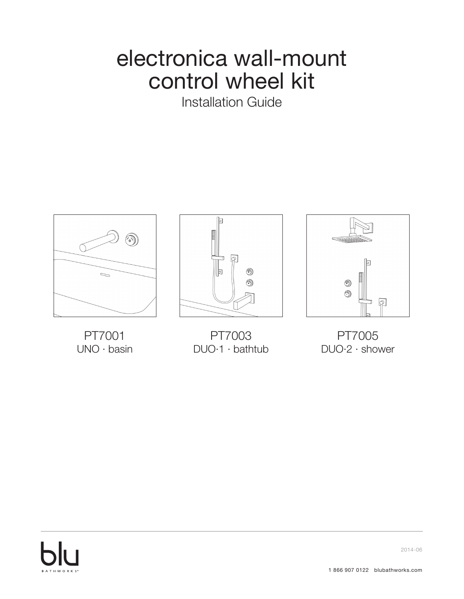## electronica wall-mount control wheel kit

Installation Guide



PT7001 UNO · basin



PT7003 DUO·1 · bathtub



PT7005 DUO·2 · shower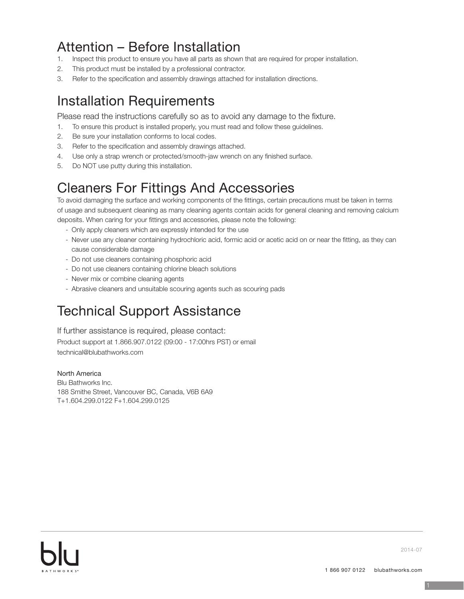## Attention – Before Installation

- 1. Inspect this product to ensure you have all parts as shown that are required for proper installation.
- 2. This product must be installed by a professional contractor.
- 3. Refer to the specification and assembly drawings attached for installation directions.

### Installation Requirements

Please read the instructions carefully so as to avoid any damage to the fixture.

- 1. To ensure this product is installed properly, you must read and follow these guidelines.
- 2. Be sure your installation conforms to local codes.
- 3. Refer to the specification and assembly drawings attached.
- 4. Use only a strap wrench or protected/smooth-jaw wrench on any finished surface.
- 5. Do NOT use putty during this installation.

### Cleaners For Fittings And Accessories

To avoid damaging the surface and working components of the fittings, certain precautions must be taken in terms of usage and subsequent cleaning as many cleaning agents contain acids for general cleaning and removing calcium deposits. When caring for your fittings and accessories, please note the following:

- Only apply cleaners which are expressly intended for the use
- Never use any cleaner containing hydrochloric acid, formic acid or acetic acid on or near the fitting, as they can cause considerable damage
- Do not use cleaners containing phosphoric acid
- Do not use cleaners containing chlorine bleach solutions
- Never mix or combine cleaning agents
- Abrasive cleaners and unsuitable scouring agents such as scouring pads

### Technical Support Assistance

If further assistance is required, please contact: Product support at 1.866.907.0122 (09:00 - 17:00hrs PST) or email technical@blubathworks.com

North America Blu Bathworks Inc. 188 Smithe Street, Vancouver BC, Canada, V6B 6A9 T+1.604.299.0122 F+1.604.299.0125

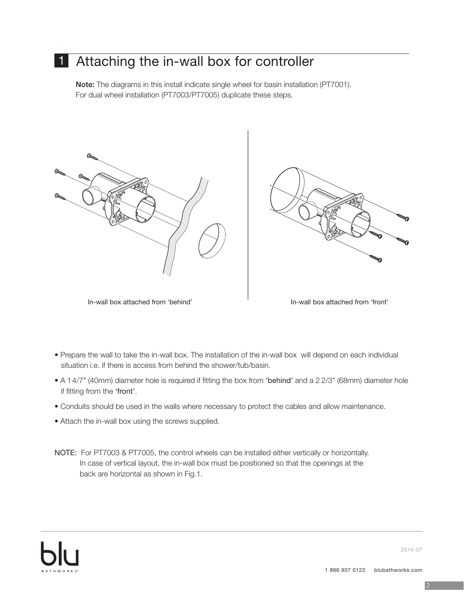### 1 Attaching the in-wall box for controller

Note: The diagrams in this install indicate single wheel for basin installation (PT7001). For dual wheel installation (PT7003/PT7005) duplicate these steps.





In-wall box attached from 'behind' In-wall box attached from 'front'



- Prepare the wall to take the in-wall box. The installation of the in-wall box will depend on each individual situation i.e. if there is access from behind the shower/tub/basin.
- A 14/7" (40mm) diameter hole is required if fitting the box from 'behind' and a 2 2/3" (68mm) diameter hole if fitting from the 'front'.
- Conduits should be used in the walls where necessary to protect the cables and allow maintenance.
- Attach the in-wall box using the screws supplied.
- NOTE: For PT7003 & PT7005, the control wheels can be installed either vertically or horizontally. In case of vertical layout, the in-wall box must be positioned so that the openings at the back are horizontal as shown in Fig.1.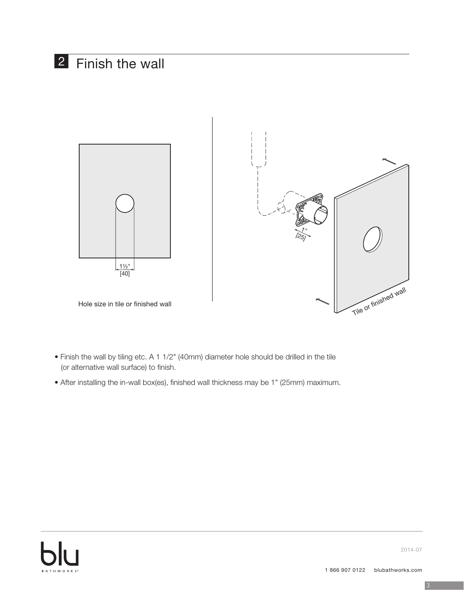### 2 Finish the wall



- Finish the wall by tiling etc. A 1 1/2" (40mm) diameter hole should be drilled in the tile (or alternative wall surface) to finish.
- After installing the in-wall box(es), finished wall thickness may be 1" (25mm) maximum.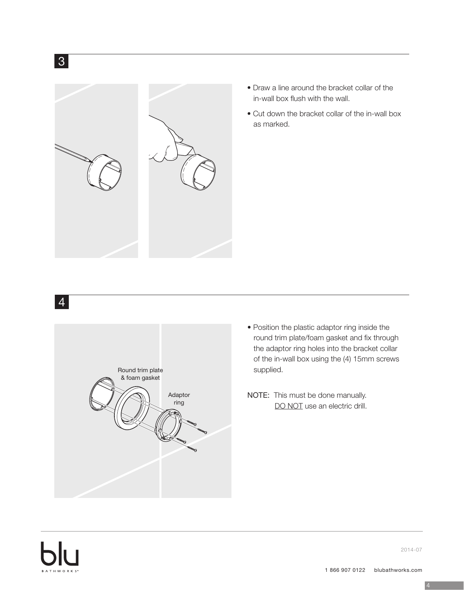

- Draw a line around the bracket collar of the in-wall box flush with the wall.
- Cut down the bracket collar of the in-wall box as marked.

4



- Position the plastic adaptor ring inside the round trim plate/foam gasket and fix through the adaptor ring holes into the bracket collar of the in-wall box using the (4) 15mm screws supplied.
- NOTE: This must be done manually. DO NOT use an electric drill.

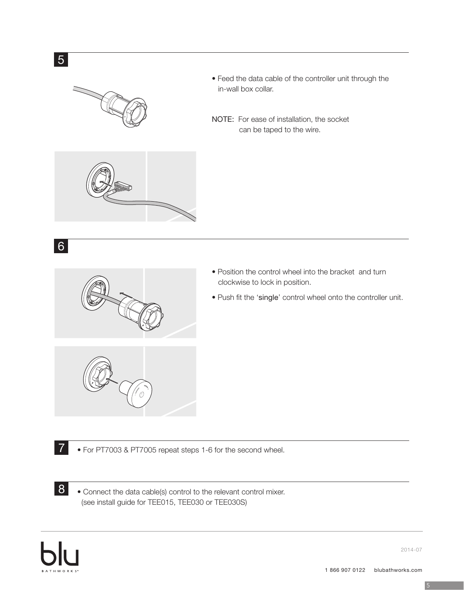





- Position the control wheel into the bracket and turn clockwise to lock in position.
- Push fit the 'single' control wheel onto the controller unit.



• For PT7003 & PT7005 repeat steps 1-6 for the second wheel.

• Connect the data cable(s) control to the relevant control mixer. (see install guide for TEE015, TEE030 or TEE030S)



7

8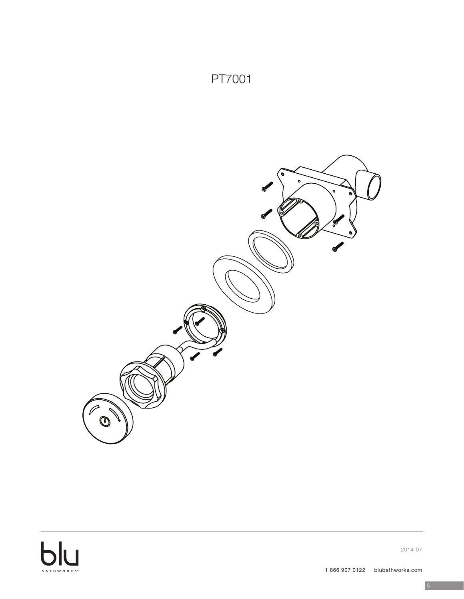

PT7001

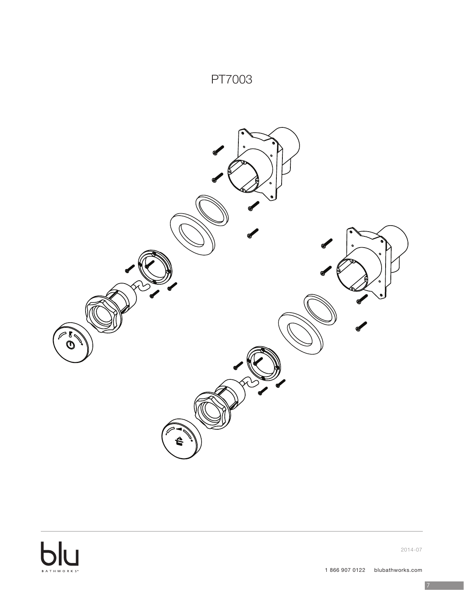### PT7003



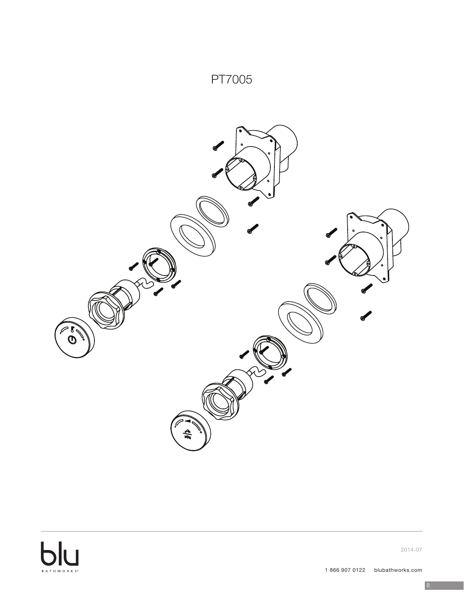### PT7005